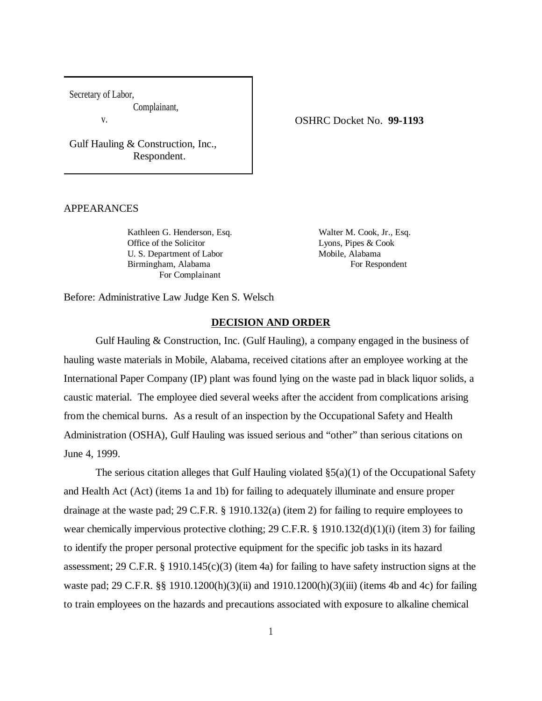Secretary of Labor,

Complainant,

v.

Gulf Hauling & Construction, Inc., Respondent.

#### APPEARANCES

Kathleen G. Henderson, Esq. Walter M. Cook, Jr., Esq. Office of the Solicitor Lyons, Pipes & Cook U. S. Department of Labor Mobile, Alabama Birmingham, Alabama For Respondent For Complainant

OSHRC Docket No. **99-1193**

Before: Administrative Law Judge Ken S. Welsch

### **DECISION AND ORDER**

Gulf Hauling & Construction, Inc. (Gulf Hauling), a company engaged in the business of hauling waste materials in Mobile, Alabama, received citations after an employee working at the International Paper Company (IP) plant was found lying on the waste pad in black liquor solids, a caustic material. The employee died several weeks after the accident from complications arising from the chemical burns. As a result of an inspection by the Occupational Safety and Health Administration (OSHA), Gulf Hauling was issued serious and "other" than serious citations on June 4, 1999.

The serious citation alleges that Gulf Hauling violated  $\S(2)(1)$  of the Occupational Safety and Health Act (Act) (items 1a and 1b) for failing to adequately illuminate and ensure proper drainage at the waste pad; 29 C.F.R. § 1910.132(a) (item 2) for failing to require employees to wear chemically impervious protective clothing; 29 C.F.R. § 1910.132(d)(1)(i) (item 3) for failing to identify the proper personal protective equipment for the specific job tasks in its hazard assessment; 29 C.F.R. § 1910.145(c)(3) (item 4a) for failing to have safety instruction signs at the waste pad; 29 C.F.R. §§ 1910.1200(h)(3)(ii) and 1910.1200(h)(3)(iii) (items 4b and 4c) for failing to train employees on the hazards and precautions associated with exposure to alkaline chemical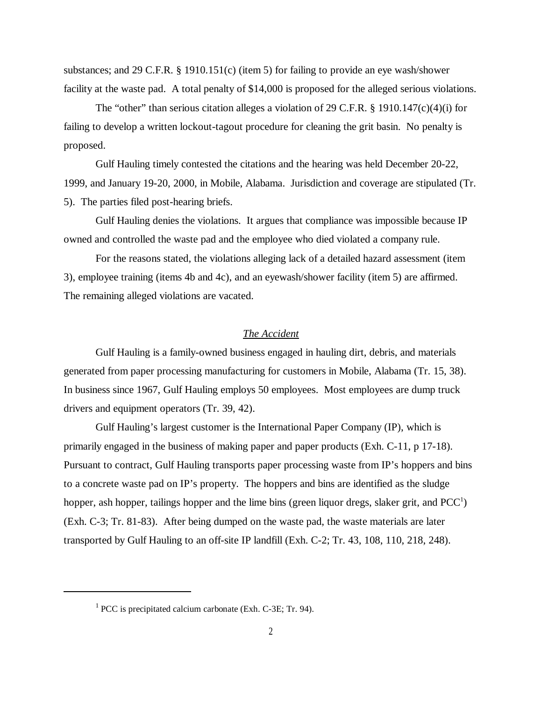substances; and 29 C.F.R. § 1910.151(c) (item 5) for failing to provide an eye wash/shower facility at the waste pad. A total penalty of \$14,000 is proposed for the alleged serious violations.

The "other" than serious citation alleges a violation of 29 C.F.R. § 1910.147(c)(4)(i) for failing to develop a written lockout-tagout procedure for cleaning the grit basin. No penalty is proposed.

Gulf Hauling timely contested the citations and the hearing was held December 20-22, 1999, and January 19-20, 2000, in Mobile, Alabama. Jurisdiction and coverage are stipulated (Tr. 5). The parties filed post-hearing briefs.

Gulf Hauling denies the violations. It argues that compliance was impossible because IP owned and controlled the waste pad and the employee who died violated a company rule.

For the reasons stated, the violations alleging lack of a detailed hazard assessment (item 3), employee training (items 4b and 4c), and an eyewash/shower facility (item 5) are affirmed. The remaining alleged violations are vacated.

### *The Accident*

Gulf Hauling is a family-owned business engaged in hauling dirt, debris, and materials generated from paper processing manufacturing for customers in Mobile, Alabama (Tr. 15, 38). In business since 1967, Gulf Hauling employs 50 employees. Most employees are dump truck drivers and equipment operators (Tr. 39, 42).

Gulf Hauling's largest customer is the International Paper Company (IP), which is primarily engaged in the business of making paper and paper products (Exh. C-11, p 17-18). Pursuant to contract, Gulf Hauling transports paper processing waste from IP's hoppers and bins to a concrete waste pad on IP's property. The hoppers and bins are identified as the sludge hopper, ash hopper, tailings hopper and the lime bins (green liquor dregs, slaker grit, and  $PCC<sup>1</sup>$ ) (Exh. C-3; Tr. 81-83). After being dumped on the waste pad, the waste materials are later transported by Gulf Hauling to an off-site IP landfill (Exh. C-2; Tr. 43, 108, 110, 218, 248).

 $1$  PCC is precipitated calcium carbonate (Exh. C-3E; Tr. 94).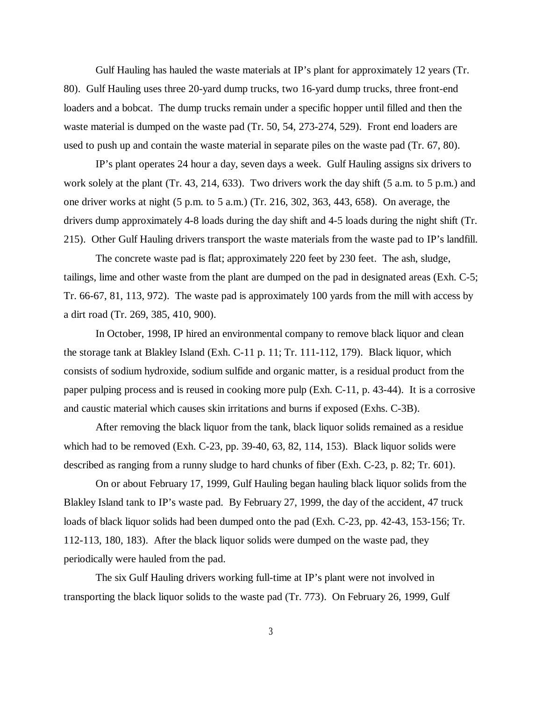Gulf Hauling has hauled the waste materials at IP's plant for approximately 12 years (Tr. 80). Gulf Hauling uses three 20-yard dump trucks, two 16-yard dump trucks, three front-end loaders and a bobcat. The dump trucks remain under a specific hopper until filled and then the waste material is dumped on the waste pad (Tr. 50, 54, 273-274, 529). Front end loaders are used to push up and contain the waste material in separate piles on the waste pad (Tr. 67, 80).

IP's plant operates 24 hour a day, seven days a week. Gulf Hauling assigns six drivers to work solely at the plant (Tr. 43, 214, 633). Two drivers work the day shift (5 a.m. to 5 p.m.) and one driver works at night (5 p.m. to 5 a.m.) (Tr. 216, 302, 363, 443, 658). On average, the drivers dump approximately 4-8 loads during the day shift and 4-5 loads during the night shift (Tr. 215). Other Gulf Hauling drivers transport the waste materials from the waste pad to IP's landfill.

The concrete waste pad is flat; approximately 220 feet by 230 feet. The ash, sludge, tailings, lime and other waste from the plant are dumped on the pad in designated areas (Exh. C-5; Tr. 66-67, 81, 113, 972). The waste pad is approximately 100 yards from the mill with access by a dirt road (Tr. 269, 385, 410, 900).

In October, 1998, IP hired an environmental company to remove black liquor and clean the storage tank at Blakley Island (Exh. C-11 p. 11; Tr. 111-112, 179). Black liquor, which consists of sodium hydroxide, sodium sulfide and organic matter, is a residual product from the paper pulping process and is reused in cooking more pulp (Exh. C-11, p. 43-44). It is a corrosive and caustic material which causes skin irritations and burns if exposed (Exhs. C-3B).

After removing the black liquor from the tank, black liquor solids remained as a residue which had to be removed (Exh. C-23, pp. 39-40, 63, 82, 114, 153). Black liquor solids were described as ranging from a runny sludge to hard chunks of fiber (Exh. C-23, p. 82; Tr. 601).

On or about February 17, 1999, Gulf Hauling began hauling black liquor solids from the Blakley Island tank to IP's waste pad. By February 27, 1999, the day of the accident, 47 truck loads of black liquor solids had been dumped onto the pad (Exh. C-23, pp. 42-43, 153-156; Tr. 112-113, 180, 183). After the black liquor solids were dumped on the waste pad, they periodically were hauled from the pad.

The six Gulf Hauling drivers working full-time at IP's plant were not involved in transporting the black liquor solids to the waste pad (Tr. 773). On February 26, 1999, Gulf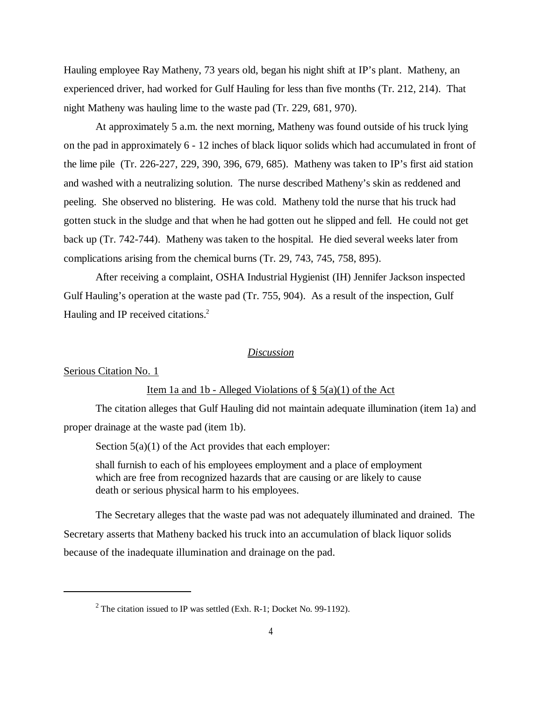Hauling employee Ray Matheny, 73 years old, began his night shift at IP's plant. Matheny, an experienced driver, had worked for Gulf Hauling for less than five months (Tr. 212, 214). That night Matheny was hauling lime to the waste pad (Tr. 229, 681, 970).

At approximately 5 a.m. the next morning, Matheny was found outside of his truck lying on the pad in approximately 6 - 12 inches of black liquor solids which had accumulated in front of the lime pile (Tr. 226-227, 229, 390, 396, 679, 685). Matheny was taken to IP's first aid station and washed with a neutralizing solution. The nurse described Matheny's skin as reddened and peeling. She observed no blistering. He was cold. Matheny told the nurse that his truck had gotten stuck in the sludge and that when he had gotten out he slipped and fell. He could not get back up (Tr. 742-744). Matheny was taken to the hospital. He died several weeks later from complications arising from the chemical burns (Tr. 29, 743, 745, 758, 895).

After receiving a complaint, OSHA Industrial Hygienist (IH) Jennifer Jackson inspected Gulf Hauling's operation at the waste pad (Tr. 755, 904). As a result of the inspection, Gulf Hauling and IP received citations.<sup>2</sup>

### *Discussion*

### Serious Citation No. 1

# Item 1a and 1b - Alleged Violations of  $\S$  5(a)(1) of the Act

The citation alleges that Gulf Hauling did not maintain adequate illumination (item 1a) and proper drainage at the waste pad (item 1b).

Section 5(a)(1) of the Act provides that each employer:

shall furnish to each of his employees employment and a place of employment which are free from recognized hazards that are causing or are likely to cause death or serious physical harm to his employees.

The Secretary alleges that the waste pad was not adequately illuminated and drained. The Secretary asserts that Matheny backed his truck into an accumulation of black liquor solids because of the inadequate illumination and drainage on the pad.

 $2$  The citation issued to IP was settled (Exh. R-1; Docket No. 99-1192).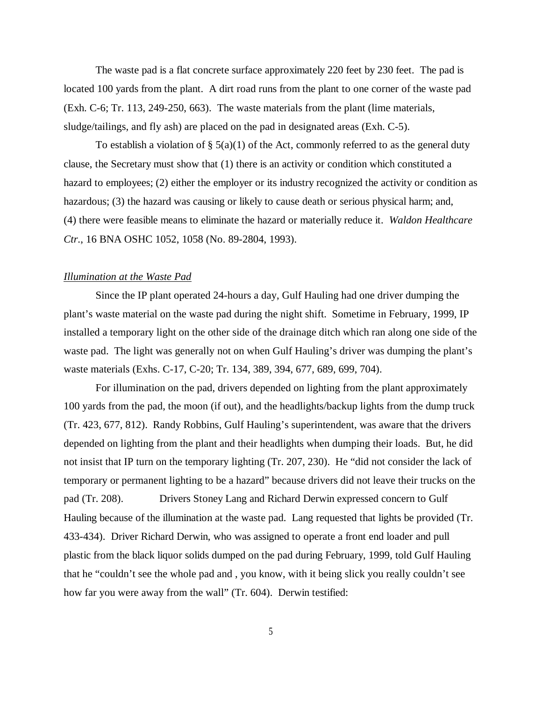The waste pad is a flat concrete surface approximately 220 feet by 230 feet. The pad is located 100 yards from the plant. A dirt road runs from the plant to one corner of the waste pad (Exh. C-6; Tr. 113, 249-250, 663). The waste materials from the plant (lime materials, sludge/tailings, and fly ash) are placed on the pad in designated areas (Exh. C-5).

To establish a violation of  $\S$  5(a)(1) of the Act, commonly referred to as the general duty clause, the Secretary must show that (1) there is an activity or condition which constituted a hazard to employees; (2) either the employer or its industry recognized the activity or condition as hazardous; (3) the hazard was causing or likely to cause death or serious physical harm; and, (4) there were feasible means to eliminate the hazard or materially reduce it. *Waldon Healthcare Ctr*., 16 BNA OSHC 1052, 1058 (No. 89-2804, 1993).

## *Illumination at the Waste Pad*

Since the IP plant operated 24-hours a day, Gulf Hauling had one driver dumping the plant's waste material on the waste pad during the night shift. Sometime in February, 1999, IP installed a temporary light on the other side of the drainage ditch which ran along one side of the waste pad. The light was generally not on when Gulf Hauling's driver was dumping the plant's waste materials (Exhs. C-17, C-20; Tr. 134, 389, 394, 677, 689, 699, 704).

For illumination on the pad, drivers depended on lighting from the plant approximately 100 yards from the pad, the moon (if out), and the headlights/backup lights from the dump truck (Tr. 423, 677, 812). Randy Robbins, Gulf Hauling's superintendent, was aware that the drivers depended on lighting from the plant and their headlights when dumping their loads. But, he did not insist that IP turn on the temporary lighting (Tr. 207, 230). He "did not consider the lack of temporary or permanent lighting to be a hazard" because drivers did not leave their trucks on the pad (Tr. 208). Drivers Stoney Lang and Richard Derwin expressed concern to Gulf Hauling because of the illumination at the waste pad. Lang requested that lights be provided (Tr. 433-434). Driver Richard Derwin, who was assigned to operate a front end loader and pull plastic from the black liquor solids dumped on the pad during February, 1999, told Gulf Hauling that he "couldn't see the whole pad and , you know, with it being slick you really couldn't see how far you were away from the wall" (Tr. 604). Derwin testified: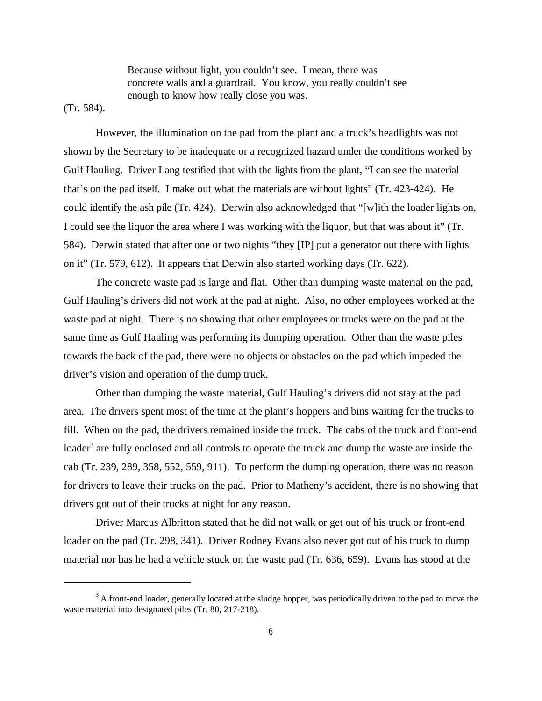Because without light, you couldn't see. I mean, there was concrete walls and a guardrail. You know, you really couldn't see enough to know how really close you was.

(Tr. 584).

However, the illumination on the pad from the plant and a truck's headlights was not shown by the Secretary to be inadequate or a recognized hazard under the conditions worked by Gulf Hauling. Driver Lang testified that with the lights from the plant, "I can see the material that's on the pad itself. I make out what the materials are without lights" (Tr. 423-424). He could identify the ash pile (Tr. 424). Derwin also acknowledged that "[w]ith the loader lights on, I could see the liquor the area where I was working with the liquor, but that was about it" (Tr. 584). Derwin stated that after one or two nights "they [IP] put a generator out there with lights on it" (Tr. 579, 612). It appears that Derwin also started working days (Tr. 622).

The concrete waste pad is large and flat. Other than dumping waste material on the pad, Gulf Hauling's drivers did not work at the pad at night. Also, no other employees worked at the waste pad at night. There is no showing that other employees or trucks were on the pad at the same time as Gulf Hauling was performing its dumping operation. Other than the waste piles towards the back of the pad, there were no objects or obstacles on the pad which impeded the driver's vision and operation of the dump truck.

Other than dumping the waste material, Gulf Hauling's drivers did not stay at the pad area. The drivers spent most of the time at the plant's hoppers and bins waiting for the trucks to fill. When on the pad, the drivers remained inside the truck. The cabs of the truck and front-end loader<sup>3</sup> are fully enclosed and all controls to operate the truck and dump the waste are inside the cab (Tr. 239, 289, 358, 552, 559, 911). To perform the dumping operation, there was no reason for drivers to leave their trucks on the pad. Prior to Matheny's accident, there is no showing that drivers got out of their trucks at night for any reason.

Driver Marcus Albritton stated that he did not walk or get out of his truck or front-end loader on the pad (Tr. 298, 341). Driver Rodney Evans also never got out of his truck to dump material nor has he had a vehicle stuck on the waste pad (Tr. 636, 659). Evans has stood at the

<sup>&</sup>lt;sup>3</sup> A front-end loader, generally located at the sludge hopper, was periodically driven to the pad to move the waste material into designated piles (Tr. 80, 217-218).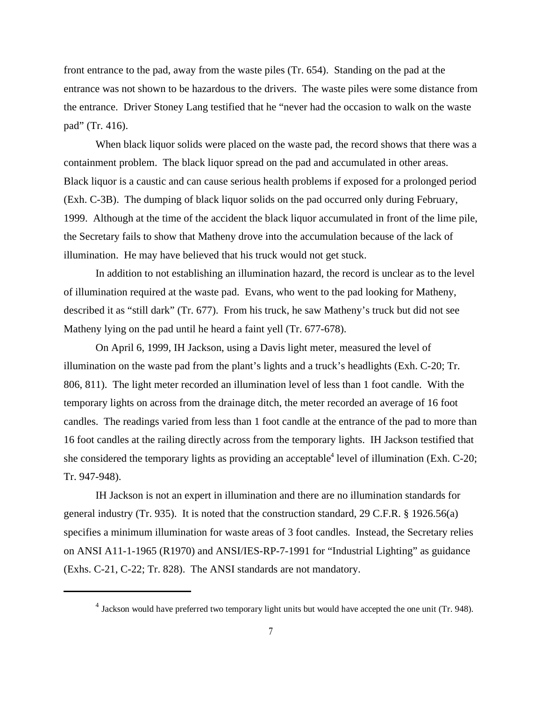front entrance to the pad, away from the waste piles (Tr. 654). Standing on the pad at the entrance was not shown to be hazardous to the drivers. The waste piles were some distance from the entrance. Driver Stoney Lang testified that he "never had the occasion to walk on the waste pad" (Tr. 416).

When black liquor solids were placed on the waste pad, the record shows that there was a containment problem. The black liquor spread on the pad and accumulated in other areas. Black liquor is a caustic and can cause serious health problems if exposed for a prolonged period (Exh. C-3B). The dumping of black liquor solids on the pad occurred only during February, 1999. Although at the time of the accident the black liquor accumulated in front of the lime pile, the Secretary fails to show that Matheny drove into the accumulation because of the lack of illumination. He may have believed that his truck would not get stuck.

In addition to not establishing an illumination hazard, the record is unclear as to the level of illumination required at the waste pad. Evans, who went to the pad looking for Matheny, described it as "still dark" (Tr. 677). From his truck, he saw Matheny's truck but did not see Matheny lying on the pad until he heard a faint yell (Tr. 677-678).

On April 6, 1999, IH Jackson, using a Davis light meter, measured the level of illumination on the waste pad from the plant's lights and a truck's headlights (Exh. C-20; Tr. 806, 811). The light meter recorded an illumination level of less than 1 foot candle. With the temporary lights on across from the drainage ditch, the meter recorded an average of 16 foot candles. The readings varied from less than 1 foot candle at the entrance of the pad to more than 16 foot candles at the railing directly across from the temporary lights. IH Jackson testified that she considered the temporary lights as providing an acceptable<sup>4</sup> level of illumination (Exh. C-20; Tr. 947-948).

IH Jackson is not an expert in illumination and there are no illumination standards for general industry (Tr. 935). It is noted that the construction standard, 29 C.F.R. § 1926.56(a) specifies a minimum illumination for waste areas of 3 foot candles. Instead, the Secretary relies on ANSI A11-1-1965 (R1970) and ANSI/IES-RP-7-1991 for "Industrial Lighting" as guidance (Exhs. C-21, C-22; Tr. 828). The ANSI standards are not mandatory.

<sup>&</sup>lt;sup>4</sup> Jackson would have preferred two temporary light units but would have accepted the one unit (Tr. 948).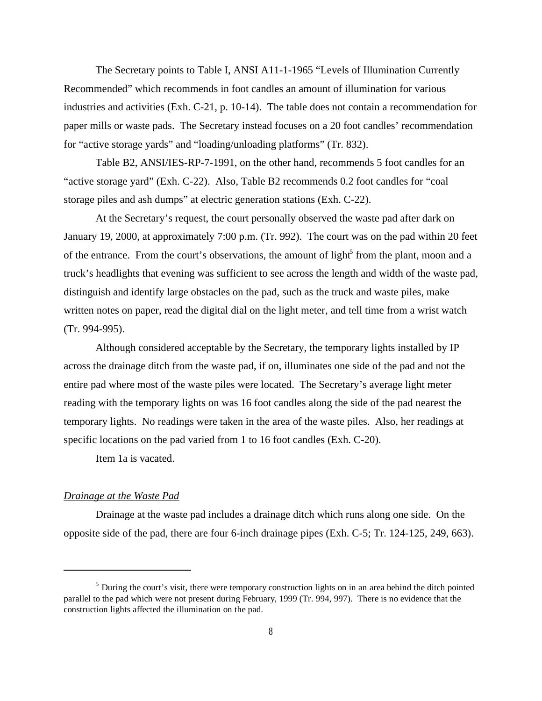The Secretary points to Table I, ANSI A11-1-1965 "Levels of Illumination Currently Recommended" which recommends in foot candles an amount of illumination for various industries and activities (Exh. C-21, p. 10-14). The table does not contain a recommendation for paper mills or waste pads. The Secretary instead focuses on a 20 foot candles' recommendation for "active storage yards" and "loading/unloading platforms" (Tr. 832).

Table B2, ANSI/IES-RP-7-1991, on the other hand, recommends 5 foot candles for an "active storage yard" (Exh. C-22). Also, Table B2 recommends 0.2 foot candles for "coal storage piles and ash dumps" at electric generation stations (Exh. C-22).

At the Secretary's request, the court personally observed the waste pad after dark on January 19, 2000, at approximately 7:00 p.m. (Tr. 992). The court was on the pad within 20 feet of the entrance. From the court's observations, the amount of light<sup>5</sup> from the plant, moon and a truck's headlights that evening was sufficient to see across the length and width of the waste pad, distinguish and identify large obstacles on the pad, such as the truck and waste piles, make written notes on paper, read the digital dial on the light meter, and tell time from a wrist watch (Tr. 994-995).

Although considered acceptable by the Secretary, the temporary lights installed by IP across the drainage ditch from the waste pad, if on, illuminates one side of the pad and not the entire pad where most of the waste piles were located. The Secretary's average light meter reading with the temporary lights on was 16 foot candles along the side of the pad nearest the temporary lights. No readings were taken in the area of the waste piles. Also, her readings at specific locations on the pad varied from 1 to 16 foot candles (Exh. C-20).

Item 1a is vacated.

### *Drainage at the Waste Pad*

Drainage at the waste pad includes a drainage ditch which runs along one side. On the opposite side of the pad, there are four 6-inch drainage pipes (Exh. C-5; Tr. 124-125, 249, 663).

 $<sup>5</sup>$  During the court's visit, there were temporary construction lights on in an area behind the ditch pointed</sup> parallel to the pad which were not present during February, 1999 (Tr. 994, 997). There is no evidence that the construction lights affected the illumination on the pad.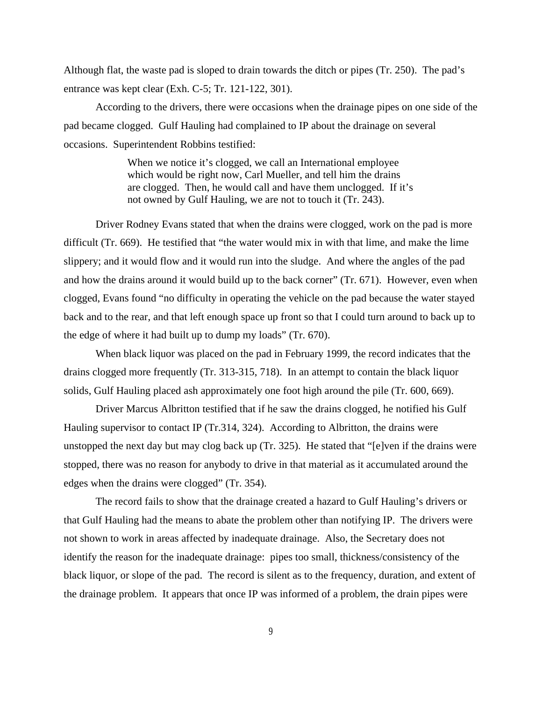Although flat, the waste pad is sloped to drain towards the ditch or pipes (Tr. 250). The pad's entrance was kept clear (Exh. C-5; Tr. 121-122, 301).

According to the drivers, there were occasions when the drainage pipes on one side of the pad became clogged. Gulf Hauling had complained to IP about the drainage on several occasions. Superintendent Robbins testified:

> When we notice it's clogged, we call an International employee which would be right now, Carl Mueller, and tell him the drains are clogged. Then, he would call and have them unclogged. If it's not owned by Gulf Hauling, we are not to touch it (Tr. 243).

Driver Rodney Evans stated that when the drains were clogged, work on the pad is more difficult (Tr. 669). He testified that "the water would mix in with that lime, and make the lime slippery; and it would flow and it would run into the sludge. And where the angles of the pad and how the drains around it would build up to the back corner" (Tr. 671). However, even when clogged, Evans found "no difficulty in operating the vehicle on the pad because the water stayed back and to the rear, and that left enough space up front so that I could turn around to back up to the edge of where it had built up to dump my loads" (Tr. 670).

When black liquor was placed on the pad in February 1999, the record indicates that the drains clogged more frequently (Tr. 313-315, 718). In an attempt to contain the black liquor solids, Gulf Hauling placed ash approximately one foot high around the pile (Tr. 600, 669).

Driver Marcus Albritton testified that if he saw the drains clogged, he notified his Gulf Hauling supervisor to contact IP (Tr.314, 324). According to Albritton, the drains were unstopped the next day but may clog back up (Tr. 325). He stated that "[e]ven if the drains were stopped, there was no reason for anybody to drive in that material as it accumulated around the edges when the drains were clogged" (Tr. 354).

The record fails to show that the drainage created a hazard to Gulf Hauling's drivers or that Gulf Hauling had the means to abate the problem other than notifying IP. The drivers were not shown to work in areas affected by inadequate drainage. Also, the Secretary does not identify the reason for the inadequate drainage: pipes too small, thickness/consistency of the black liquor, or slope of the pad. The record is silent as to the frequency, duration, and extent of the drainage problem. It appears that once IP was informed of a problem, the drain pipes were

9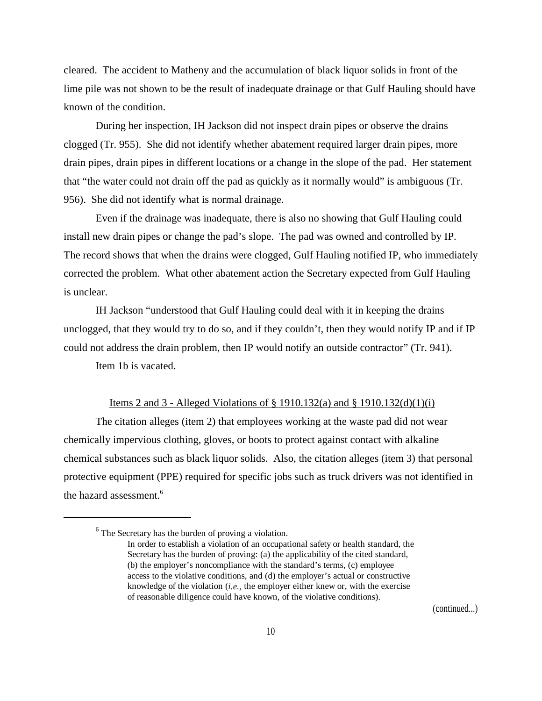cleared. The accident to Matheny and the accumulation of black liquor solids in front of the lime pile was not shown to be the result of inadequate drainage or that Gulf Hauling should have known of the condition.

During her inspection, IH Jackson did not inspect drain pipes or observe the drains clogged (Tr. 955). She did not identify whether abatement required larger drain pipes, more drain pipes, drain pipes in different locations or a change in the slope of the pad. Her statement that "the water could not drain off the pad as quickly as it normally would" is ambiguous (Tr. 956). She did not identify what is normal drainage.

Even if the drainage was inadequate, there is also no showing that Gulf Hauling could install new drain pipes or change the pad's slope. The pad was owned and controlled by IP. The record shows that when the drains were clogged, Gulf Hauling notified IP, who immediately corrected the problem. What other abatement action the Secretary expected from Gulf Hauling is unclear.

IH Jackson "understood that Gulf Hauling could deal with it in keeping the drains unclogged, that they would try to do so, and if they couldn't, then they would notify IP and if IP could not address the drain problem, then IP would notify an outside contractor" (Tr. 941).

Item 1b is vacated.

## Items 2 and 3 - Alleged Violations of § 1910.132(a) and § 1910.132(d)(1)(i)

The citation alleges (item 2) that employees working at the waste pad did not wear chemically impervious clothing, gloves, or boots to protect against contact with alkaline chemical substances such as black liquor solids. Also, the citation alleges (item 3) that personal protective equipment (PPE) required for specific jobs such as truck drivers was not identified in the hazard assessment.<sup>6</sup>

(continued...)

<sup>&</sup>lt;sup>6</sup> The Secretary has the burden of proving a violation.

In order to establish a violation of an occupational safety or health standard, the Secretary has the burden of proving: (a) the applicability of the cited standard, (b) the employer's noncompliance with the standard's terms, (c) employee access to the violative conditions, and (d) the employer's actual or constructive knowledge of the violation (*i.e.,* the employer either knew or, with the exercise of reasonable diligence could have known, of the violative conditions).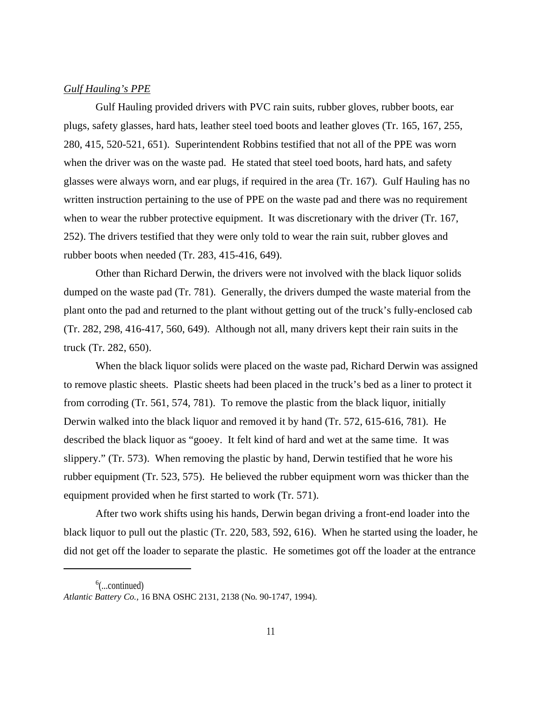## *Gulf Hauling's PPE*

Gulf Hauling provided drivers with PVC rain suits, rubber gloves, rubber boots, ear plugs, safety glasses, hard hats, leather steel toed boots and leather gloves (Tr. 165, 167, 255, 280, 415, 520-521, 651). Superintendent Robbins testified that not all of the PPE was worn when the driver was on the waste pad. He stated that steel toed boots, hard hats, and safety glasses were always worn, and ear plugs, if required in the area (Tr. 167). Gulf Hauling has no written instruction pertaining to the use of PPE on the waste pad and there was no requirement when to wear the rubber protective equipment. It was discretionary with the driver (Tr. 167, 252). The drivers testified that they were only told to wear the rain suit, rubber gloves and rubber boots when needed (Tr. 283, 415-416, 649).

 Other than Richard Derwin, the drivers were not involved with the black liquor solids dumped on the waste pad (Tr. 781). Generally, the drivers dumped the waste material from the plant onto the pad and returned to the plant without getting out of the truck's fully-enclosed cab (Tr. 282, 298, 416-417, 560, 649). Although not all, many drivers kept their rain suits in the truck (Tr. 282, 650).

When the black liquor solids were placed on the waste pad, Richard Derwin was assigned to remove plastic sheets. Plastic sheets had been placed in the truck's bed as a liner to protect it from corroding (Tr. 561, 574, 781). To remove the plastic from the black liquor, initially Derwin walked into the black liquor and removed it by hand (Tr. 572, 615-616, 781). He described the black liquor as "gooey. It felt kind of hard and wet at the same time. It was slippery." (Tr. 573). When removing the plastic by hand, Derwin testified that he wore his rubber equipment (Tr. 523, 575). He believed the rubber equipment worn was thicker than the equipment provided when he first started to work (Tr. 571).

After two work shifts using his hands, Derwin began driving a front-end loader into the black liquor to pull out the plastic (Tr. 220, 583, 592, 616). When he started using the loader, he did not get off the loader to separate the plastic. He sometimes got off the loader at the entrance

 $6$ (...continued)

*Atlantic Battery Co.,* 16 BNA OSHC 2131, 2138 (No. 90-1747, 1994).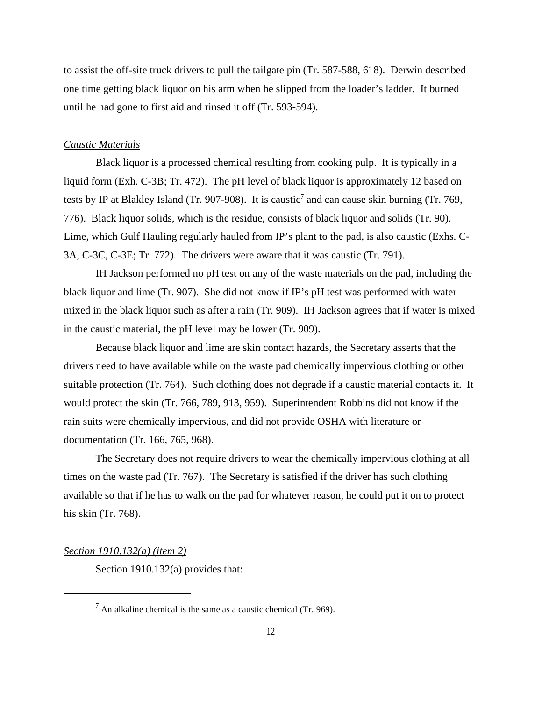to assist the off-site truck drivers to pull the tailgate pin (Tr. 587-588, 618). Derwin described one time getting black liquor on his arm when he slipped from the loader's ladder. It burned until he had gone to first aid and rinsed it off (Tr. 593-594).

### *Caustic Materials*

Black liquor is a processed chemical resulting from cooking pulp. It is typically in a liquid form (Exh. C-3B; Tr. 472). The pH level of black liquor is approximately 12 based on tests by IP at Blakley Island (Tr. 907-908). It is caustic<sup>7</sup> and can cause skin burning (Tr. 769, 776). Black liquor solids, which is the residue, consists of black liquor and solids (Tr. 90). Lime, which Gulf Hauling regularly hauled from IP's plant to the pad, is also caustic (Exhs. C-3A, C-3C, C-3E; Tr. 772). The drivers were aware that it was caustic (Tr. 791).

IH Jackson performed no pH test on any of the waste materials on the pad, including the black liquor and lime (Tr. 907). She did not know if IP's pH test was performed with water mixed in the black liquor such as after a rain (Tr. 909). IH Jackson agrees that if water is mixed in the caustic material, the pH level may be lower (Tr. 909).

Because black liquor and lime are skin contact hazards, the Secretary asserts that the drivers need to have available while on the waste pad chemically impervious clothing or other suitable protection (Tr. 764). Such clothing does not degrade if a caustic material contacts it. It would protect the skin (Tr. 766, 789, 913, 959). Superintendent Robbins did not know if the rain suits were chemically impervious, and did not provide OSHA with literature or documentation (Tr. 166, 765, 968).

The Secretary does not require drivers to wear the chemically impervious clothing at all times on the waste pad (Tr. 767). The Secretary is satisfied if the driver has such clothing available so that if he has to walk on the pad for whatever reason, he could put it on to protect his skin (Tr. 768).

## *Section 1910.132(a) (item 2)*

Section 1910.132(a) provides that:

 $<sup>7</sup>$  An alkaline chemical is the same as a caustic chemical (Tr. 969).</sup>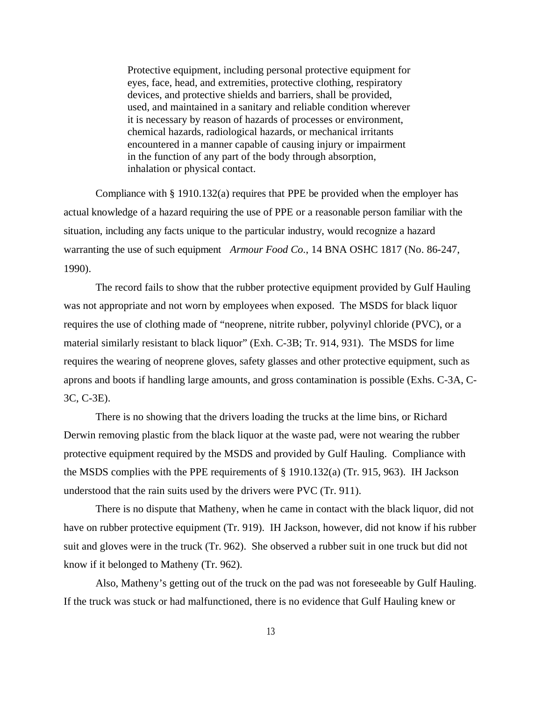Protective equipment, including personal protective equipment for eyes, face, head, and extremities, protective clothing, respiratory devices, and protective shields and barriers, shall be provided, used, and maintained in a sanitary and reliable condition wherever it is necessary by reason of hazards of processes or environment, chemical hazards, radiological hazards, or mechanical irritants encountered in a manner capable of causing injury or impairment in the function of any part of the body through absorption, inhalation or physical contact.

Compliance with § 1910.132(a) requires that PPE be provided when the employer has actual knowledge of a hazard requiring the use of PPE or a reasonable person familiar with the situation, including any facts unique to the particular industry, would recognize a hazard warranting the use of such equipment *Armour Food Co*., 14 BNA OSHC 1817 (No. 86-247, 1990).

The record fails to show that the rubber protective equipment provided by Gulf Hauling was not appropriate and not worn by employees when exposed. The MSDS for black liquor requires the use of clothing made of "neoprene, nitrite rubber, polyvinyl chloride (PVC), or a material similarly resistant to black liquor" (Exh. C-3B; Tr. 914, 931). The MSDS for lime requires the wearing of neoprene gloves, safety glasses and other protective equipment, such as aprons and boots if handling large amounts, and gross contamination is possible (Exhs. C-3A, C-3C, C-3E).

There is no showing that the drivers loading the trucks at the lime bins, or Richard Derwin removing plastic from the black liquor at the waste pad, were not wearing the rubber protective equipment required by the MSDS and provided by Gulf Hauling. Compliance with the MSDS complies with the PPE requirements of § 1910.132(a) (Tr. 915, 963). IH Jackson understood that the rain suits used by the drivers were PVC (Tr. 911).

There is no dispute that Matheny, when he came in contact with the black liquor, did not have on rubber protective equipment (Tr. 919). IH Jackson, however, did not know if his rubber suit and gloves were in the truck (Tr. 962). She observed a rubber suit in one truck but did not know if it belonged to Matheny (Tr. 962).

Also, Matheny's getting out of the truck on the pad was not foreseeable by Gulf Hauling. If the truck was stuck or had malfunctioned, there is no evidence that Gulf Hauling knew or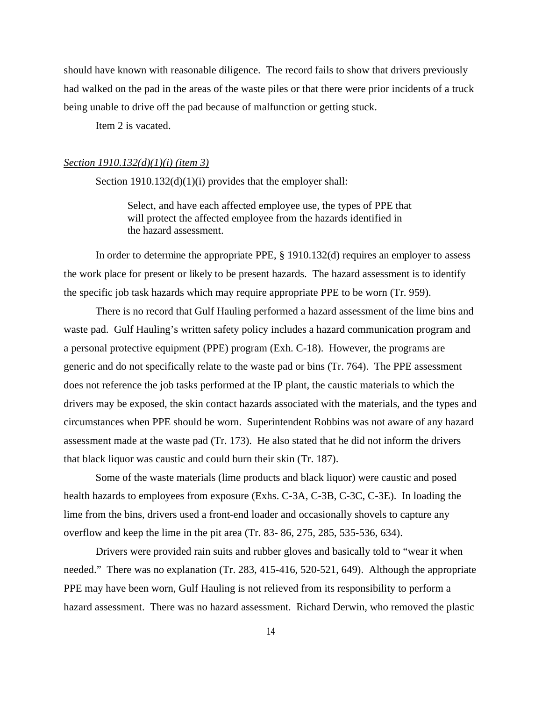should have known with reasonable diligence. The record fails to show that drivers previously had walked on the pad in the areas of the waste piles or that there were prior incidents of a truck being unable to drive off the pad because of malfunction or getting stuck.

Item 2 is vacated.

### *Section 1910.132(d)(1)(i) (item 3)*

Section 1910.132(d)(1)(i) provides that the employer shall:

Select, and have each affected employee use, the types of PPE that will protect the affected employee from the hazards identified in the hazard assessment.

In order to determine the appropriate PPE, § 1910.132(d) requires an employer to assess the work place for present or likely to be present hazards. The hazard assessment is to identify the specific job task hazards which may require appropriate PPE to be worn (Tr. 959).

There is no record that Gulf Hauling performed a hazard assessment of the lime bins and waste pad. Gulf Hauling's written safety policy includes a hazard communication program and a personal protective equipment (PPE) program (Exh. C-18). However, the programs are generic and do not specifically relate to the waste pad or bins (Tr. 764). The PPE assessment does not reference the job tasks performed at the IP plant, the caustic materials to which the drivers may be exposed, the skin contact hazards associated with the materials, and the types and circumstances when PPE should be worn. Superintendent Robbins was not aware of any hazard assessment made at the waste pad (Tr. 173). He also stated that he did not inform the drivers that black liquor was caustic and could burn their skin (Tr. 187).

Some of the waste materials (lime products and black liquor) were caustic and posed health hazards to employees from exposure (Exhs. C-3A, C-3B, C-3C, C-3E). In loading the lime from the bins, drivers used a front-end loader and occasionally shovels to capture any overflow and keep the lime in the pit area (Tr. 83- 86, 275, 285, 535-536, 634).

Drivers were provided rain suits and rubber gloves and basically told to "wear it when needed." There was no explanation (Tr. 283, 415-416, 520-521, 649). Although the appropriate PPE may have been worn, Gulf Hauling is not relieved from its responsibility to perform a hazard assessment. There was no hazard assessment. Richard Derwin, who removed the plastic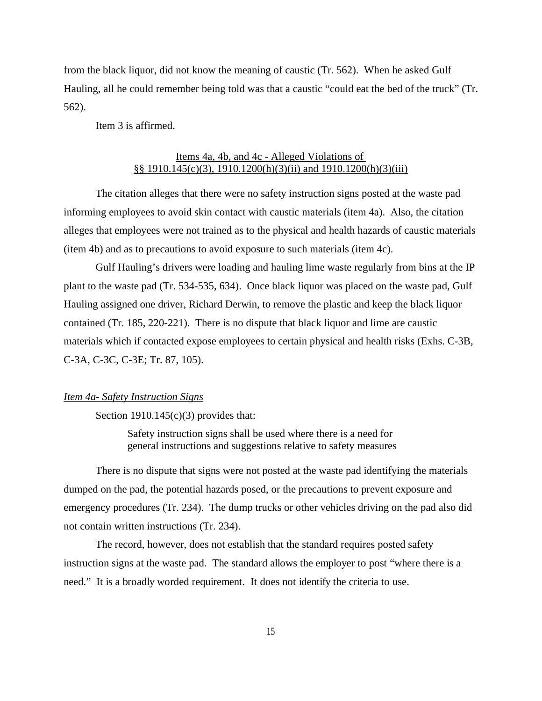from the black liquor, did not know the meaning of caustic (Tr. 562). When he asked Gulf Hauling, all he could remember being told was that a caustic "could eat the bed of the truck" (Tr. 562).

Item 3 is affirmed.

# Items 4a, 4b, and 4c - Alleged Violations of §§ 1910.145(c)(3), 1910.1200(h)(3)(ii) and 1910.1200(h)(3)(iii)

The citation alleges that there were no safety instruction signs posted at the waste pad informing employees to avoid skin contact with caustic materials (item 4a). Also, the citation alleges that employees were not trained as to the physical and health hazards of caustic materials (item 4b) and as to precautions to avoid exposure to such materials (item 4c).

Gulf Hauling's drivers were loading and hauling lime waste regularly from bins at the IP plant to the waste pad (Tr. 534-535, 634). Once black liquor was placed on the waste pad, Gulf Hauling assigned one driver, Richard Derwin, to remove the plastic and keep the black liquor contained (Tr. 185, 220-221). There is no dispute that black liquor and lime are caustic materials which if contacted expose employees to certain physical and health risks (Exhs. C-3B, C-3A, C-3C, C-3E; Tr. 87, 105).

### *Item 4a- Safety Instruction Signs*

Section  $1910.145(c)(3)$  provides that:

Safety instruction signs shall be used where there is a need for general instructions and suggestions relative to safety measures

There is no dispute that signs were not posted at the waste pad identifying the materials dumped on the pad, the potential hazards posed, or the precautions to prevent exposure and emergency procedures (Tr. 234). The dump trucks or other vehicles driving on the pad also did not contain written instructions (Tr. 234).

The record, however, does not establish that the standard requires posted safety instruction signs at the waste pad. The standard allows the employer to post "where there is a need." It is a broadly worded requirement. It does not identify the criteria to use.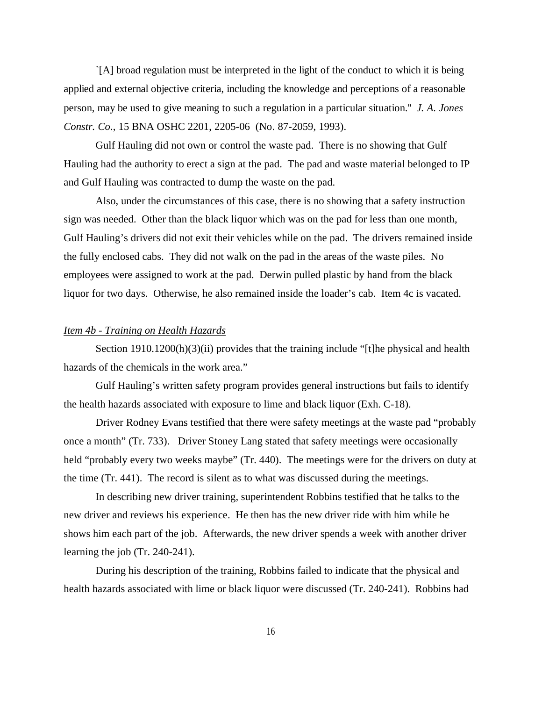`[A] broad regulation must be interpreted in the light of the conduct to which it is being applied and external objective criteria, including the knowledge and perceptions of a reasonable person, may be used to give meaning to such a regulation in a particular situation.'' *J. A. Jones Constr. Co*., 15 BNA OSHC 2201, 2205-06 (No. 87-2059, 1993).

Gulf Hauling did not own or control the waste pad. There is no showing that Gulf Hauling had the authority to erect a sign at the pad. The pad and waste material belonged to IP and Gulf Hauling was contracted to dump the waste on the pad.

Also, under the circumstances of this case, there is no showing that a safety instruction sign was needed. Other than the black liquor which was on the pad for less than one month, Gulf Hauling's drivers did not exit their vehicles while on the pad. The drivers remained inside the fully enclosed cabs. They did not walk on the pad in the areas of the waste piles. No employees were assigned to work at the pad. Derwin pulled plastic by hand from the black liquor for two days. Otherwise, he also remained inside the loader's cab. Item 4c is vacated.

# *Item 4b - Training on Health Hazards*

Section 1910.1200(h)(3)(ii) provides that the training include "[t]he physical and health hazards of the chemicals in the work area."

Gulf Hauling's written safety program provides general instructions but fails to identify the health hazards associated with exposure to lime and black liquor (Exh. C-18).

Driver Rodney Evans testified that there were safety meetings at the waste pad "probably once a month" (Tr. 733). Driver Stoney Lang stated that safety meetings were occasionally held "probably every two weeks maybe" (Tr. 440). The meetings were for the drivers on duty at the time (Tr. 441). The record is silent as to what was discussed during the meetings.

In describing new driver training, superintendent Robbins testified that he talks to the new driver and reviews his experience. He then has the new driver ride with him while he shows him each part of the job. Afterwards, the new driver spends a week with another driver learning the job (Tr. 240-241).

During his description of the training, Robbins failed to indicate that the physical and health hazards associated with lime or black liquor were discussed (Tr. 240-241). Robbins had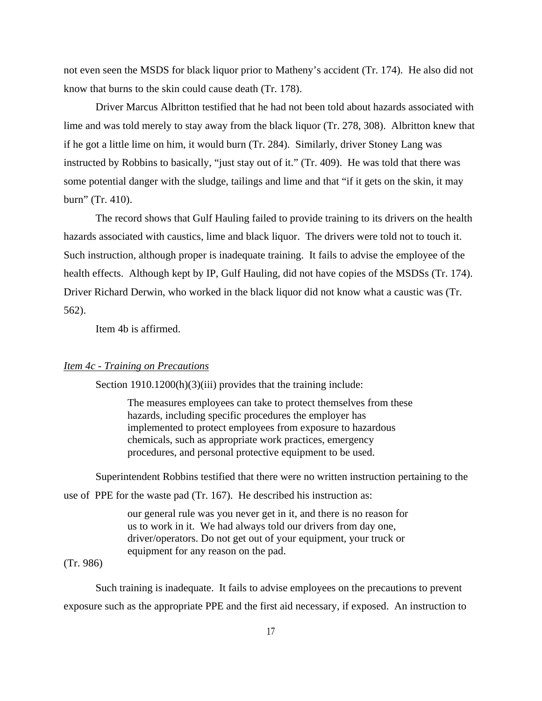not even seen the MSDS for black liquor prior to Matheny's accident (Tr. 174). He also did not know that burns to the skin could cause death (Tr. 178).

Driver Marcus Albritton testified that he had not been told about hazards associated with lime and was told merely to stay away from the black liquor (Tr. 278, 308). Albritton knew that if he got a little lime on him, it would burn (Tr. 284). Similarly, driver Stoney Lang was instructed by Robbins to basically, "just stay out of it." (Tr. 409). He was told that there was some potential danger with the sludge, tailings and lime and that "if it gets on the skin, it may burn" (Tr. 410).

The record shows that Gulf Hauling failed to provide training to its drivers on the health hazards associated with caustics, lime and black liquor. The drivers were told not to touch it. Such instruction, although proper is inadequate training. It fails to advise the employee of the health effects. Although kept by IP, Gulf Hauling, did not have copies of the MSDSs (Tr. 174). Driver Richard Derwin, who worked in the black liquor did not know what a caustic was (Tr. 562).

Item 4b is affirmed.

### *Item 4c - Training on Precautions*

Section 1910.1200(h)(3)(iii) provides that the training include:

The measures employees can take to protect themselves from these hazards, including specific procedures the employer has implemented to protect employees from exposure to hazardous chemicals, such as appropriate work practices, emergency procedures, and personal protective equipment to be used.

Superintendent Robbins testified that there were no written instruction pertaining to the

use of PPE for the waste pad (Tr. 167). He described his instruction as:

our general rule was you never get in it, and there is no reason for us to work in it. We had always told our drivers from day one, driver/operators. Do not get out of your equipment, your truck or equipment for any reason on the pad.

# (Tr. 986)

Such training is inadequate. It fails to advise employees on the precautions to prevent exposure such as the appropriate PPE and the first aid necessary, if exposed. An instruction to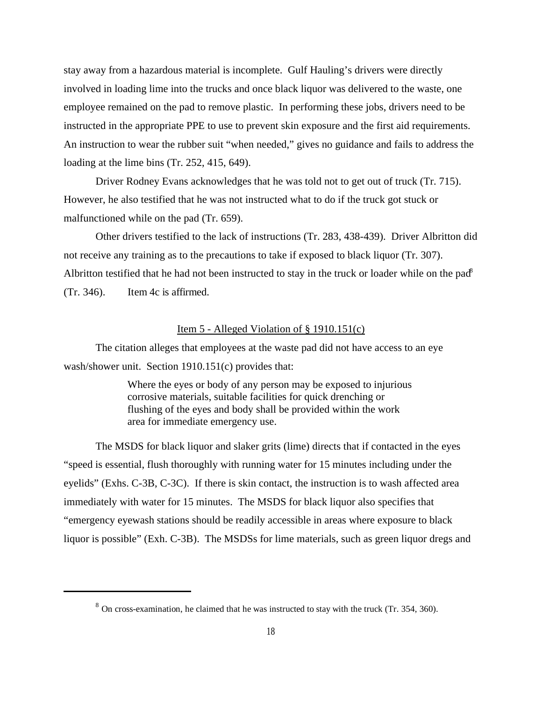stay away from a hazardous material is incomplete. Gulf Hauling's drivers were directly involved in loading lime into the trucks and once black liquor was delivered to the waste, one employee remained on the pad to remove plastic. In performing these jobs, drivers need to be instructed in the appropriate PPE to use to prevent skin exposure and the first aid requirements. An instruction to wear the rubber suit "when needed," gives no guidance and fails to address the loading at the lime bins (Tr. 252, 415, 649).

Driver Rodney Evans acknowledges that he was told not to get out of truck (Tr. 715). However, he also testified that he was not instructed what to do if the truck got stuck or malfunctioned while on the pad (Tr. 659).

Other drivers testified to the lack of instructions (Tr. 283, 438-439). Driver Albritton did not receive any training as to the precautions to take if exposed to black liquor (Tr. 307). Albritton testified that he had not been instructed to stay in the truck or loader while on the pad<sup>8</sup> (Tr. 346). Item 4c is affirmed.

#### Item 5 - Alleged Violation of § 1910.151(c)

The citation alleges that employees at the waste pad did not have access to an eye wash/shower unit. Section 1910.151(c) provides that:

> Where the eyes or body of any person may be exposed to injurious corrosive materials, suitable facilities for quick drenching or flushing of the eyes and body shall be provided within the work area for immediate emergency use.

The MSDS for black liquor and slaker grits (lime) directs that if contacted in the eyes "speed is essential, flush thoroughly with running water for 15 minutes including under the eyelids" (Exhs. C-3B, C-3C). If there is skin contact, the instruction is to wash affected area immediately with water for 15 minutes. The MSDS for black liquor also specifies that "emergency eyewash stations should be readily accessible in areas where exposure to black liquor is possible" (Exh. C-3B). The MSDSs for lime materials, such as green liquor dregs and

<sup>&</sup>lt;sup>8</sup> On cross-examination, he claimed that he was instructed to stay with the truck (Tr. 354, 360).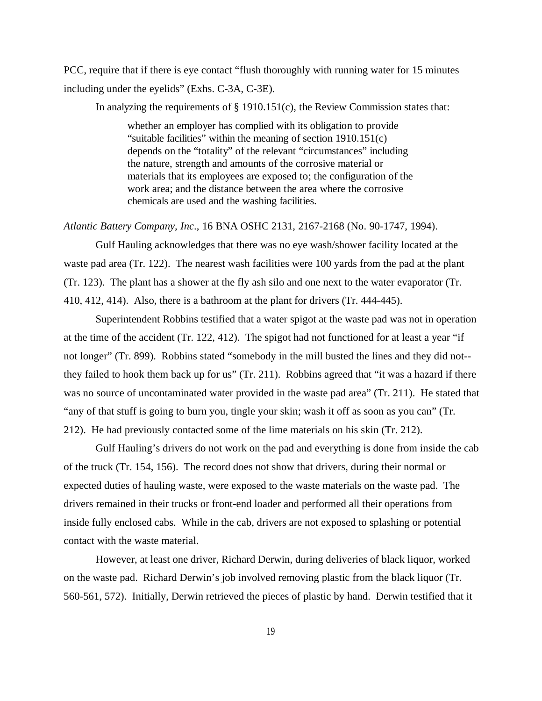PCC, require that if there is eye contact "flush thoroughly with running water for 15 minutes including under the eyelids" (Exhs. C-3A, C-3E).

In analyzing the requirements of § 1910.151(c), the Review Commission states that:

whether an employer has complied with its obligation to provide "suitable facilities" within the meaning of section 1910.151(c) depends on the "totality" of the relevant "circumstances" including the nature, strength and amounts of the corrosive material or materials that its employees are exposed to; the configuration of the work area; and the distance between the area where the corrosive chemicals are used and the washing facilities.

*Atlantic Battery Company, Inc*., 16 BNA OSHC 2131, 2167-2168 (No. 90-1747, 1994).

Gulf Hauling acknowledges that there was no eye wash/shower facility located at the waste pad area (Tr. 122). The nearest wash facilities were 100 yards from the pad at the plant (Tr. 123). The plant has a shower at the fly ash silo and one next to the water evaporator (Tr. 410, 412, 414). Also, there is a bathroom at the plant for drivers (Tr. 444-445).

Superintendent Robbins testified that a water spigot at the waste pad was not in operation at the time of the accident (Tr. 122, 412). The spigot had not functioned for at least a year "if not longer" (Tr. 899). Robbins stated "somebody in the mill busted the lines and they did not- they failed to hook them back up for us" (Tr. 211). Robbins agreed that "it was a hazard if there was no source of uncontaminated water provided in the waste pad area" (Tr. 211). He stated that "any of that stuff is going to burn you, tingle your skin; wash it off as soon as you can" (Tr. 212). He had previously contacted some of the lime materials on his skin (Tr. 212).

Gulf Hauling's drivers do not work on the pad and everything is done from inside the cab of the truck (Tr. 154, 156). The record does not show that drivers, during their normal or expected duties of hauling waste, were exposed to the waste materials on the waste pad. The drivers remained in their trucks or front-end loader and performed all their operations from inside fully enclosed cabs. While in the cab, drivers are not exposed to splashing or potential contact with the waste material.

However, at least one driver, Richard Derwin, during deliveries of black liquor, worked on the waste pad. Richard Derwin's job involved removing plastic from the black liquor (Tr. 560-561, 572). Initially, Derwin retrieved the pieces of plastic by hand. Derwin testified that it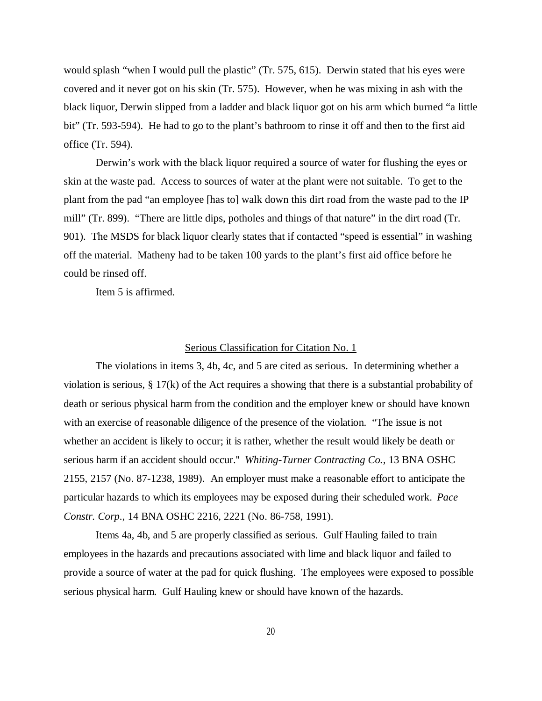would splash "when I would pull the plastic" (Tr. 575, 615). Derwin stated that his eyes were covered and it never got on his skin (Tr. 575). However, when he was mixing in ash with the black liquor, Derwin slipped from a ladder and black liquor got on his arm which burned "a little bit" (Tr. 593-594). He had to go to the plant's bathroom to rinse it off and then to the first aid office (Tr. 594).

Derwin's work with the black liquor required a source of water for flushing the eyes or skin at the waste pad. Access to sources of water at the plant were not suitable. To get to the plant from the pad "an employee [has to] walk down this dirt road from the waste pad to the IP mill" (Tr. 899). "There are little dips, potholes and things of that nature" in the dirt road (Tr. 901). The MSDS for black liquor clearly states that if contacted "speed is essential" in washing off the material. Matheny had to be taken 100 yards to the plant's first aid office before he could be rinsed off.

Item 5 is affirmed.

# Serious Classification for Citation No. 1

The violations in items 3, 4b, 4c, and 5 are cited as serious. In determining whether a violation is serious, § 17(k) of the Act requires a showing that there is a substantial probability of death or serious physical harm from the condition and the employer knew or should have known with an exercise of reasonable diligence of the presence of the violation. "The issue is not whether an accident is likely to occur; it is rather, whether the result would likely be death or serious harm if an accident should occur.'' *Whiting-Turner Contracting Co.,* 13 BNA OSHC 2155, 2157 (No. 87-1238, 1989). An employer must make a reasonable effort to anticipate the particular hazards to which its employees may be exposed during their scheduled work. *Pace Constr. Corp*., 14 BNA OSHC 2216, 2221 (No. 86-758, 1991).

Items 4a, 4b, and 5 are properly classified as serious. Gulf Hauling failed to train employees in the hazards and precautions associated with lime and black liquor and failed to provide a source of water at the pad for quick flushing. The employees were exposed to possible serious physical harm. Gulf Hauling knew or should have known of the hazards.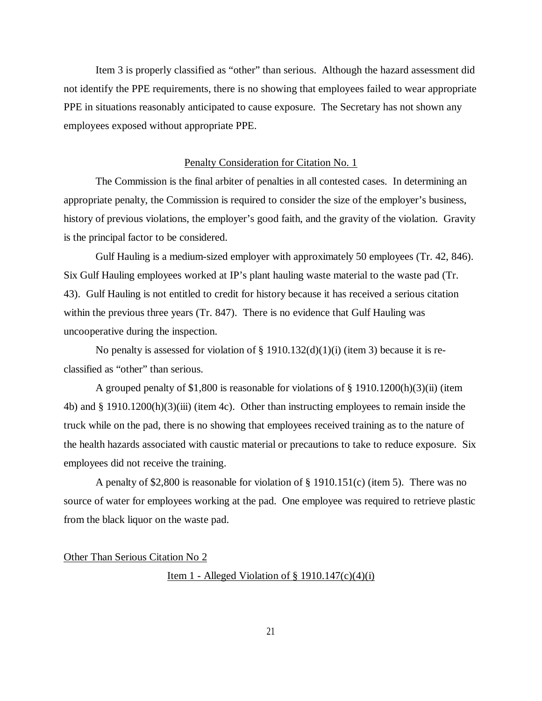Item 3 is properly classified as "other" than serious. Although the hazard assessment did not identify the PPE requirements, there is no showing that employees failed to wear appropriate PPE in situations reasonably anticipated to cause exposure. The Secretary has not shown any employees exposed without appropriate PPE.

## Penalty Consideration for Citation No. 1

The Commission is the final arbiter of penalties in all contested cases. In determining an appropriate penalty, the Commission is required to consider the size of the employer's business, history of previous violations, the employer's good faith, and the gravity of the violation. Gravity is the principal factor to be considered.

Gulf Hauling is a medium-sized employer with approximately 50 employees (Tr. 42, 846). Six Gulf Hauling employees worked at IP's plant hauling waste material to the waste pad (Tr. 43). Gulf Hauling is not entitled to credit for history because it has received a serious citation within the previous three years (Tr. 847). There is no evidence that Gulf Hauling was uncooperative during the inspection.

No penalty is assessed for violation of  $\S$  1910.132(d)(1)(i) (item 3) because it is reclassified as "other" than serious.

A grouped penalty of \$1,800 is reasonable for violations of § 1910.1200(h)(3)(ii) (item 4b) and § 1910.1200(h)(3)(iii) (item 4c). Other than instructing employees to remain inside the truck while on the pad, there is no showing that employees received training as to the nature of the health hazards associated with caustic material or precautions to take to reduce exposure. Six employees did not receive the training.

A penalty of \$2,800 is reasonable for violation of § 1910.151(c) (item 5).There was no source of water for employees working at the pad. One employee was required to retrieve plastic from the black liquor on the waste pad.

Other Than Serious Citation No 2

Item 1 - Alleged Violation of  $\S$  1910.147(c)(4)(i)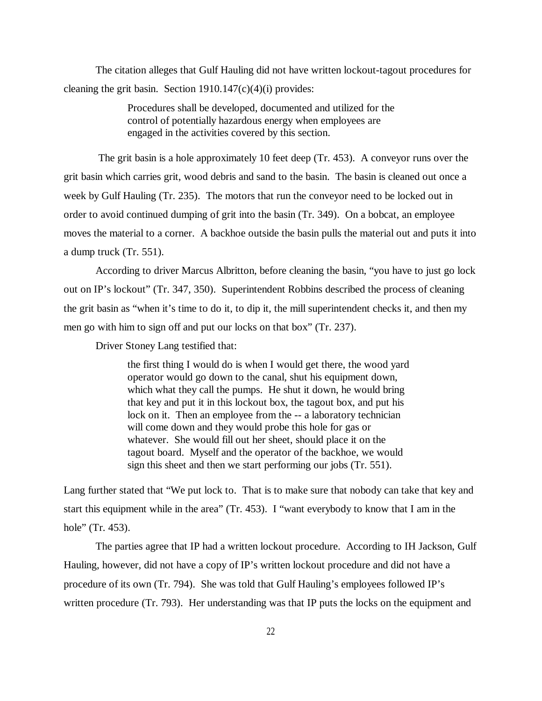The citation alleges that Gulf Hauling did not have written lockout-tagout procedures for cleaning the grit basin. Section  $1910.147(c)(4)(i)$  provides:

> Procedures shall be developed, documented and utilized for the control of potentially hazardous energy when employees are engaged in the activities covered by this section.

 The grit basin is a hole approximately 10 feet deep (Tr. 453). A conveyor runs over the grit basin which carries grit, wood debris and sand to the basin. The basin is cleaned out once a week by Gulf Hauling (Tr. 235). The motors that run the conveyor need to be locked out in order to avoid continued dumping of grit into the basin (Tr. 349). On a bobcat, an employee moves the material to a corner. A backhoe outside the basin pulls the material out and puts it into a dump truck (Tr. 551).

According to driver Marcus Albritton, before cleaning the basin, "you have to just go lock out on IP's lockout" (Tr. 347, 350). Superintendent Robbins described the process of cleaning the grit basin as "when it's time to do it, to dip it, the mill superintendent checks it, and then my men go with him to sign off and put our locks on that box" (Tr. 237).

Driver Stoney Lang testified that:

the first thing I would do is when I would get there, the wood yard operator would go down to the canal, shut his equipment down, which what they call the pumps. He shut it down, he would bring that key and put it in this lockout box, the tagout box, and put his lock on it. Then an employee from the -- a laboratory technician will come down and they would probe this hole for gas or whatever. She would fill out her sheet, should place it on the tagout board. Myself and the operator of the backhoe, we would sign this sheet and then we start performing our jobs (Tr. 551).

Lang further stated that "We put lock to. That is to make sure that nobody can take that key and start this equipment while in the area" (Tr. 453). I "want everybody to know that I am in the hole" (Tr. 453).

The parties agree that IP had a written lockout procedure. According to IH Jackson, Gulf Hauling, however, did not have a copy of IP's written lockout procedure and did not have a procedure of its own (Tr. 794). She was told that Gulf Hauling's employees followed IP's written procedure (Tr. 793). Her understanding was that IP puts the locks on the equipment and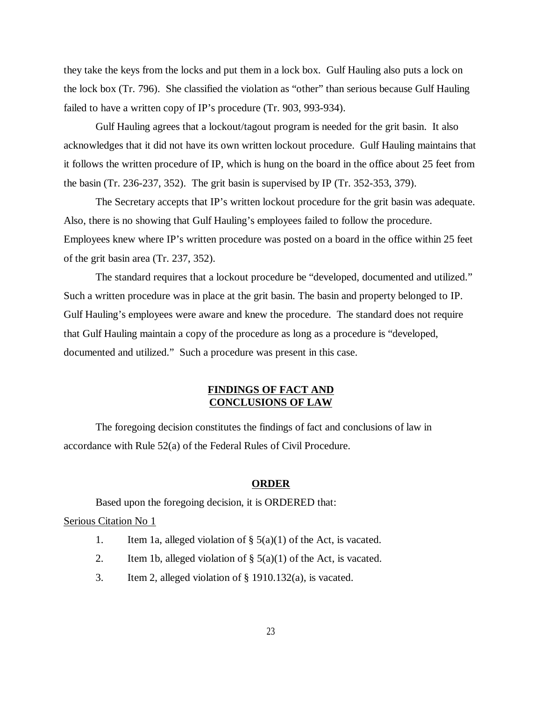they take the keys from the locks and put them in a lock box. Gulf Hauling also puts a lock on the lock box (Tr. 796). She classified the violation as "other" than serious because Gulf Hauling failed to have a written copy of IP's procedure (Tr. 903, 993-934).

Gulf Hauling agrees that a lockout/tagout program is needed for the grit basin. It also acknowledges that it did not have its own written lockout procedure. Gulf Hauling maintains that it follows the written procedure of IP, which is hung on the board in the office about 25 feet from the basin (Tr. 236-237, 352). The grit basin is supervised by IP (Tr. 352-353, 379).

The Secretary accepts that IP's written lockout procedure for the grit basin was adequate. Also, there is no showing that Gulf Hauling's employees failed to follow the procedure. Employees knew where IP's written procedure was posted on a board in the office within 25 feet of the grit basin area (Tr. 237, 352).

The standard requires that a lockout procedure be "developed, documented and utilized." Such a written procedure was in place at the grit basin. The basin and property belonged to IP. Gulf Hauling's employees were aware and knew the procedure. The standard does not require that Gulf Hauling maintain a copy of the procedure as long as a procedure is "developed, documented and utilized." Such a procedure was present in this case.

# **FINDINGS OF FACT AND CONCLUSIONS OF LAW**

The foregoing decision constitutes the findings of fact and conclusions of law in accordance with Rule 52(a) of the Federal Rules of Civil Procedure.

### **ORDER**

## Based upon the foregoing decision, it is ORDERED that:

# Serious Citation No 1

- 1. Item 1a, alleged violation of  $\S(5a)(1)$  of the Act, is vacated.
- 2. Item 1b, alleged violation of  $\S(5(a)(1))$  of the Act, is vacated.
- 3. Item 2, alleged violation of § 1910.132(a), is vacated.